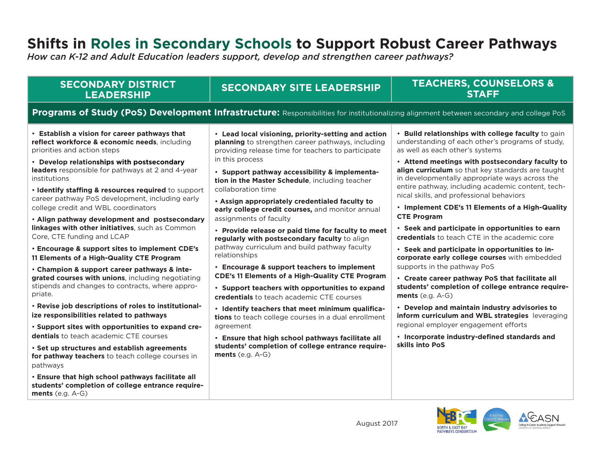# **Shifts in Roles in Secondary Schools to Support Robust Career Pathways**

*How can K-12 and Adult Education leaders support, develop and strengthen career pathways?*

# **SECONDARY DISTRICT LEADERSHIP**

# **SECONDARY SITE LEADERSHIP TEACHERS, COUNSELORS & STAFF**

# **Programs of Study (PoS) Development Infrastructure:** Responsibilities for institutionalizing alignment between secondary and college PoS

• **Establish a vision for career pathways that reflect workforce & economic needs**, including priorities and action steps

• **Develop relationships with postsecondary leaders** responsible for pathways at 2 and 4-year institutions

• **Identify staffing & resources required** to support career pathway PoS development, including early college credit and WBL coordinators

• **Align pathway development and postsecondary linkages with other initiatives**, such as Common Core, CTE funding and LCAP

• **Encourage & support sites to implement CDE's 11 Elements of a High-Quality CTE Program**

• **Champion & support career pathways & integrated courses with unions**, including negotiating stipends and changes to contracts, where appropriate.

• **Revise job descriptions of roles to institutionalize responsibilities related to pathways**

• **Support sites with opportunities to expand credentials** to teach academic CTE courses

• **Set up structures and establish agreements for pathway teachers** to teach college courses in pathways

• **Ensure that high school pathways facilitate all students' completion of college entrance requirements** (e.g. A-G)

• **Lead local visioning, priority-setting and action planning** to strengthen career pathways, including providing release time for teachers to participate in this process

• **Support pathway accessibility & implementation in the Master Schedule**, including teacher collaboration time

• **Assign appropriately credentialed faculty to early college credit courses,** and monitor annual assignments of faculty

• **Provide release or paid time for faculty to meet regularly with postsecondary faculty** to align pathway curriculum and build pathway faculty relationships

• **Encourage & support teachers to implement CDE's 11 Elements of a High-Quality CTE Program**

• **Support teachers with opportunities to expand credentials** to teach academic CTE courses

• **Identify teachers that meet minimum qualifications** to teach college courses in a dual enrollment agreement

• **Ensure that high school pathways facilitate all students' completion of college entrance requirements** (e.g. A-G)

• **Build relationships with college faculty** to gain understanding of each other's programs of study, as well as each other's systems

• **Attend meetings with postsecondary faculty to align curriculum** so that key standards are taught in developmentally appropriate ways across the entire pathway, including academic content, technical skills, and professional behaviors

• **Implement CDE's 11 Elements of a High-Quality CTE Program**

• **Seek and participate in opportunities to earn credentials** to teach CTE in the academic core

• **Seek and participate in opportunities to incorporate early college courses** with embedded supports in the pathway PoS

• **Create career pathway PoS that facilitate all students' completion of college entrance requirements** (e.g. A-G)

• **Develop and maintain industry advisories to inform curriculum and WBL strategies** leveraging regional employer engagement efforts

• **Incorporate industry-defined standards and skills into PoS** 

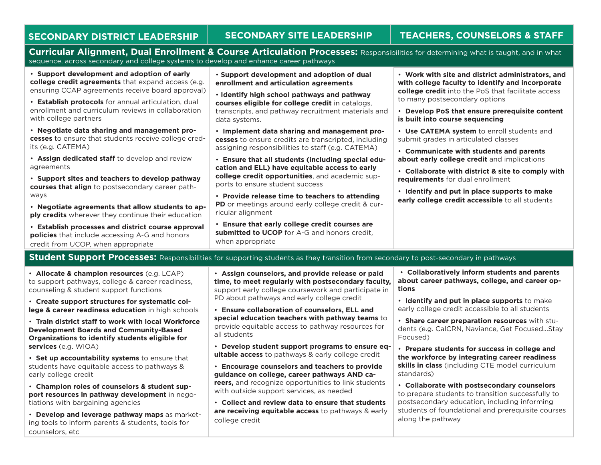### **SECONDARY DISTRICT LEADERSHIP SECONDARY SITE LEADERSHIP TEACHERS, COUNSELORS & STAFF**

**Curricular Alignment, Dual Enrollment & Course Articulation Processes:** Responsibilities for determining what is taught, and in what sequence, across secondary and college systems to develop and enhance career pathways

• **Support development and adoption of early college credit agreements** that expand access (e.g. ensuring CCAP agreements receive board approval)

• **Establish protocols** for annual articulation, dual enrollment and curriculum reviews in collaboration with college partners

• **Negotiate data sharing and management processes** to ensure that students receive college credits (e.g. CATEMA)

• **Assign dedicated staff** to develop and review agreements

• **Support sites and teachers to develop pathway courses that align** to postsecondary career pathways

• **Negotiate agreements that allow students to apply credits** wherever they continue their education

• **Establish processes and district course approval policies** that include accessing A-G and honors credit from UCOP, when appropriate

• **Support development and adoption of dual enrollment and articulation agreements**

• **Identify high school pathways and pathway courses eligible for college credit** in catalogs, transcripts, and pathway recruitment materials and data systems.

• **Implement data sharing and management processes** to ensure credits are transcripted, including assigning responsibilities to staff (e.g. CATEMA)

• **Ensure that all students (including special education and ELL) have equitable access to early college credit opportunities**, and academic supports to ensure student success

• **Provide release time to teachers to attending PD** or meetings around early college credit & curricular alignment

• **Ensure that early college credit courses are submitted to UCOP** for A-G and honors credit, when appropriate

• **Work with site and district administrators, and with college faculty to identify and incorporate college credit** into the PoS that facilitate access to many postsecondary options

• **Develop PoS that ensure prerequisite content is built into course sequencing**

• **Use CATEMA system** to enroll students and submit grades in articulated classes

• **Communicate with students and parents about early college credit** and implications

• **Collaborate with district & site to comply with requirements** for dual enrollment

• **Identify and put in place supports to make early college credit accessible** to all students

### **Student Support Processes:** Responsibilities for supporting students as they transition from secondary to post-secondary in pathways

• **Allocate & champion resources** (e.g. LCAP) to support pathways, college & career readiness, counseling & student support functions

• **Create support structures for systematic college & career readiness education** in high schools

• **Train district staff to work with local Workforce Development Boards and Community-Based Organizations to identify students eligible for services** (e.g. WIOA)

• **Set up accountability systems** to ensure that students have equitable access to pathways & early college credit

• **Champion roles of counselors & student support resources in pathway development** in negotiations with bargaining agencies

• **Develop and leverage pathway maps** as marketing tools to inform parents & students, tools for counselors, etc

• **Assign counselors, and provide release or paid time, to meet regularly with postsecondary faculty,**  support early college coursework and participate in PD about pathways and early college credit

• **Ensure collaboration of counselors, ELL and special education teachers with pathway teams** to provide equitable access to pathway resources for all students

• **Develop student support programs to ensure equitable access** to pathways & early college credit

• **Encourage counselors and teachers to provide guidance on college, career pathways AND careers,** and recognize opportunities to link students with outside support services, as needed

• **Collect and review data to ensure that students are receiving equitable access** to pathways & early college credit

 • **Collaboratively inform students and parents about career pathways, college, and career options**

• **Identify and put in place supports** to make early college credit accessible to all students

• **Share career preparation resources** with students (e.g. CalCRN, Naviance, Get Focused...Stay Focused)

• **Prepare students for success in college and the workforce by integrating career readiness skills in class** (including CTE model curriculum standards)

• **Collaborate with postsecondary counselors** to prepare students to transition successfully to postsecondary education, including informing students of foundational and prerequisite courses along the pathway